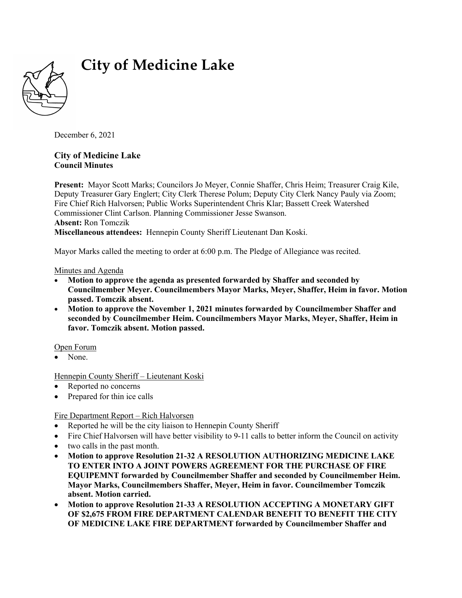

# **City of Medicine Lake**

December 6, 2021

# **City of Medicine Lake Council Minutes**

**Present:** Mayor Scott Marks; Councilors Jo Meyer, Connie Shaffer, Chris Heim; Treasurer Craig Kile, Deputy Treasurer Gary Englert; City Clerk Therese Polum; Deputy City Clerk Nancy Pauly via Zoom; Fire Chief Rich Halvorsen; Public Works Superintendent Chris Klar; Bassett Creek Watershed Commissioner Clint Carlson. Planning Commissioner Jesse Swanson. **Absent:** Ron Tomczik **Miscellaneous attendees:** Hennepin County Sheriff Lieutenant Dan Koski.

Mayor Marks called the meeting to order at 6:00 p.m. The Pledge of Allegiance was recited.

Minutes and Agenda

- **Motion to approve the agenda as presented forwarded by Shaffer and seconded by Councilmember Meyer. Councilmembers Mayor Marks, Meyer, Shaffer, Heim in favor. Motion passed. Tomczik absent.**
- **Motion to approve the November 1, 2021 minutes forwarded by Councilmember Shaffer and seconded by Councilmember Heim. Councilmembers Mayor Marks, Meyer, Shaffer, Heim in favor. Tomczik absent. Motion passed.**

Open Forum

None.

Hennepin County Sheriff – Lieutenant Koski

- Reported no concerns
- Prepared for thin ice calls

Fire Department Report – Rich Halvorsen

- Reported he will be the city liaison to Hennepin County Sheriff
- Fire Chief Halvorsen will have better visibility to 9-11 calls to better inform the Council on activity
- two calls in the past month.
- **Motion to approve Resolution 21-32 A RESOLUTION AUTHORIZING MEDICINE LAKE TO ENTER INTO A JOINT POWERS AGREEMENT FOR THE PURCHASE OF FIRE EQUIPEMNT forwarded by Councilmember Shaffer and seconded by Councilmember Heim. Mayor Marks, Councilmembers Shaffer, Meyer, Heim in favor. Councilmember Tomczik absent. Motion carried.**
- **Motion to approve Resolution 21-33 A RESOLUTION ACCEPTING A MONETARY GIFT OF \$2,675 FROM FIRE DEPARTMENT CALENDAR BENEFIT TO BENEFIT THE CITY OF MEDICINE LAKE FIRE DEPARTMENT forwarded by Councilmember Shaffer and**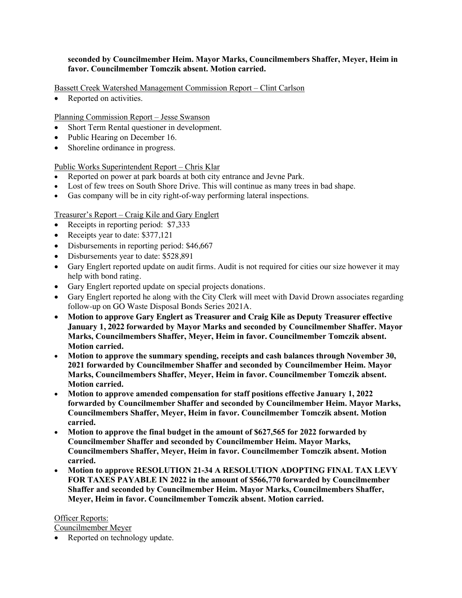# **seconded by Councilmember Heim. Mayor Marks, Councilmembers Shaffer, Meyer, Heim in favor. Councilmember Tomczik absent. Motion carried.**

# Bassett Creek Watershed Management Commission Report – Clint Carlson

• Reported on activities.

Planning Commission Report – Jesse Swanson

- Short Term Rental questioner in development.
- Public Hearing on December 16.
- Shoreline ordinance in progress.

Public Works Superintendent Report – Chris Klar

- Reported on power at park boards at both city entrance and Jevne Park.
- Lost of few trees on South Shore Drive. This will continue as many trees in bad shape.
- Gas company will be in city right-of-way performing lateral inspections.

# Treasurer's Report – Craig Kile and Gary Englert

- Receipts in reporting period: \$7,333
- Receipts year to date: \$377,121
- Disbursements in reporting period: \$46,667
- Disbursements year to date: \$528,891
- Gary Englert reported update on audit firms. Audit is not required for cities our size however it may help with bond rating.
- Gary Englert reported update on special projects donations.
- Gary Englert reported he along with the City Clerk will meet with David Drown associates regarding follow-up on GO Waste Disposal Bonds Series 2021A.
- **Motion to approve Gary Englert as Treasurer and Craig Kile as Deputy Treasurer effective January 1, 2022 forwarded by Mayor Marks and seconded by Councilmember Shaffer. Mayor Marks, Councilmembers Shaffer, Meyer, Heim in favor. Councilmember Tomczik absent. Motion carried.**
- **Motion to approve the summary spending, receipts and cash balances through November 30, 2021 forwarded by Councilmember Shaffer and seconded by Councilmember Heim. Mayor Marks, Councilmembers Shaffer, Meyer, Heim in favor. Councilmember Tomczik absent. Motion carried.**
- **Motion to approve amended compensation for staff positions effective January 1, 2022 forwarded by Councilmember Shaffer and seconded by Councilmember Heim. Mayor Marks, Councilmembers Shaffer, Meyer, Heim in favor. Councilmember Tomczik absent. Motion carried.**
- **Motion to approve the final budget in the amount of \$627,565 for 2022 forwarded by Councilmember Shaffer and seconded by Councilmember Heim. Mayor Marks, Councilmembers Shaffer, Meyer, Heim in favor. Councilmember Tomczik absent. Motion carried.**
- **Motion to approve RESOLUTION 21-34 A RESOLUTION ADOPTING FINAL TAX LEVY FOR TAXES PAYABLE IN 2022 in the amount of \$566,770 forwarded by Councilmember Shaffer and seconded by Councilmember Heim. Mayor Marks, Councilmembers Shaffer, Meyer, Heim in favor. Councilmember Tomczik absent. Motion carried.**

Officer Reports:

Councilmember Meyer

• Reported on technology update.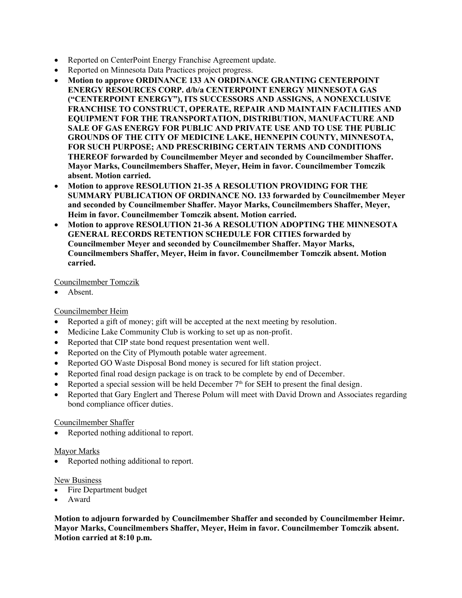- Reported on CenterPoint Energy Franchise Agreement update.
- Reported on Minnesota Data Practices project progress.
- **Motion to approve ORDINANCE 133 AN ORDINANCE GRANTING CENTERPOINT ENERGY RESOURCES CORP. d/b/a CENTERPOINT ENERGY MINNESOTA GAS ("CENTERPOINT ENERGY"), ITS SUCCESSORS AND ASSIGNS, A NONEXCLUSIVE FRANCHISE TO CONSTRUCT, OPERATE, REPAIR AND MAINTAIN FACILITIES AND EQUIPMENT FOR THE TRANSPORTATION, DISTRIBUTION, MANUFACTURE AND SALE OF GAS ENERGY FOR PUBLIC AND PRIVATE USE AND TO USE THE PUBLIC GROUNDS OF THE CITY OF MEDICINE LAKE, HENNEPIN COUNTY, MINNESOTA, FOR SUCH PURPOSE; AND PRESCRIBING CERTAIN TERMS AND CONDITIONS THEREOF forwarded by Councilmember Meyer and seconded by Councilmember Shaffer. Mayor Marks, Councilmembers Shaffer, Meyer, Heim in favor. Councilmember Tomczik absent. Motion carried.**
- **Motion to approve RESOLUTION 21-35 A RESOLUTION PROVIDING FOR THE SUMMARY PUBLICATION OF ORDINANCE NO. 133 forwarded by Councilmember Meyer and seconded by Councilmember Shaffer. Mayor Marks, Councilmembers Shaffer, Meyer, Heim in favor. Councilmember Tomczik absent. Motion carried.**
- **Motion to approve RESOLUTION 21-36 A RESOLUTION ADOPTING THE MINNESOTA GENERAL RECORDS RETENTION SCHEDULE FOR CITIES forwarded by Councilmember Meyer and seconded by Councilmember Shaffer. Mayor Marks, Councilmembers Shaffer, Meyer, Heim in favor. Councilmember Tomczik absent. Motion carried.**

Councilmember Tomczik

• Absent.

## Councilmember Heim

- Reported a gift of money; gift will be accepted at the next meeting by resolution.
- Medicine Lake Community Club is working to set up as non-profit.
- Reported that CIP state bond request presentation went well.
- Reported on the City of Plymouth potable water agreement.
- Reported GO Waste Disposal Bond money is secured for lift station project.
- Reported final road design package is on track to be complete by end of December.
- Reported a special session will be held December  $7<sup>th</sup>$  for SEH to present the final design.
- Reported that Gary Englert and Therese Polum will meet with David Drown and Associates regarding bond compliance officer duties.

## Councilmember Shaffer

• Reported nothing additional to report.

## Mayor Marks

• Reported nothing additional to report.

#### New Business

- Fire Department budget
- Award

**Motion to adjourn forwarded by Councilmember Shaffer and seconded by Councilmember Heimr. Mayor Marks, Councilmembers Shaffer, Meyer, Heim in favor. Councilmember Tomczik absent. Motion carried at 8:10 p.m.**